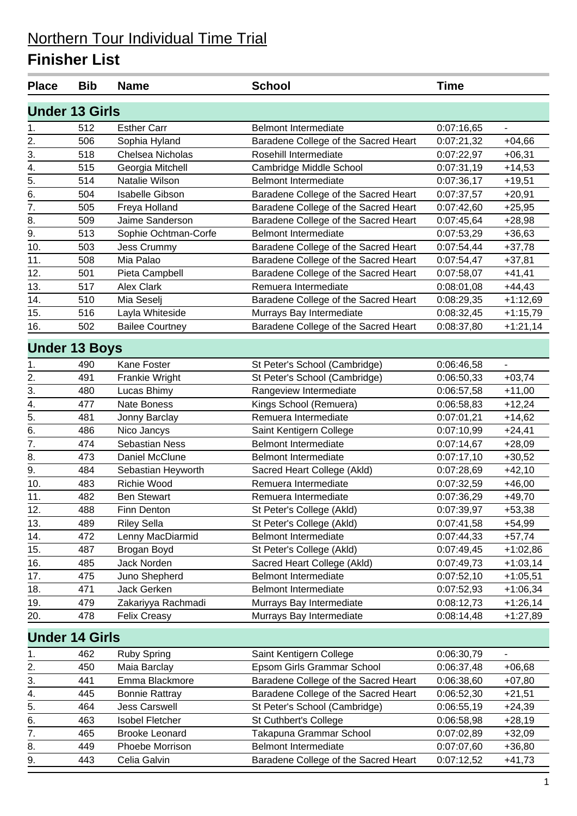| <b>Place</b>     | <b>Bib</b>            | <b>Name</b>            | <b>School</b>                        | <b>Time</b> |                              |  |  |  |  |
|------------------|-----------------------|------------------------|--------------------------------------|-------------|------------------------------|--|--|--|--|
|                  | <b>Under 13 Girls</b> |                        |                                      |             |                              |  |  |  |  |
| 1.               | 512                   | <b>Esther Carr</b>     | <b>Belmont Intermediate</b>          | 0:07:16,65  |                              |  |  |  |  |
| 2.               | 506                   | Sophia Hyland          | Baradene College of the Sacred Heart | 0:07:21,32  | $+04,66$                     |  |  |  |  |
| 3.               | 518                   | Chelsea Nicholas       | Rosehill Intermediate                | 0:07:22,97  | $+06,31$                     |  |  |  |  |
| 4.               | 515                   | Georgia Mitchell       | Cambridge Middle School              | 0:07:31,19  | $+14,53$                     |  |  |  |  |
| 5.               | 514                   | Natalie Wilson         | <b>Belmont Intermediate</b>          | 0:07:36,17  | $+19,51$                     |  |  |  |  |
| 6.               | 504                   | <b>Isabelle Gibson</b> | Baradene College of the Sacred Heart | 0:07:37,57  | $+20,91$                     |  |  |  |  |
| $\overline{7}$ . | 505                   | Freya Holland          | Baradene College of the Sacred Heart | 0:07:42,60  | $+25,95$                     |  |  |  |  |
| 8.               | 509                   | Jaime Sanderson        | Baradene College of the Sacred Heart | 0:07:45,64  | $+28,98$                     |  |  |  |  |
| 9.               | 513                   | Sophie Ochtman-Corfe   | <b>Belmont Intermediate</b>          | 0:07:53,29  | $+36,63$                     |  |  |  |  |
| 10.              | 503                   | Jess Crummy            | Baradene College of the Sacred Heart | 0:07:54,44  | $+37,78$                     |  |  |  |  |
| 11.              | 508                   | Mia Palao              | Baradene College of the Sacred Heart | 0:07:54,47  | $+37,81$                     |  |  |  |  |
| 12.              | 501                   | Pieta Campbell         | Baradene College of the Sacred Heart | 0:07:58,07  | $+41,41$                     |  |  |  |  |
| 13.              | 517                   | <b>Alex Clark</b>      | Remuera Intermediate                 | 0:08:01,08  | $+44,43$                     |  |  |  |  |
| 14.              | 510                   | Mia Seselj             | Baradene College of the Sacred Heart | 0:08:29,35  | $+1:12,69$                   |  |  |  |  |
| 15.              | 516                   | Layla Whiteside        | Murrays Bay Intermediate             | 0:08:32,45  | $+1:15,79$                   |  |  |  |  |
| 16.              | 502                   | <b>Bailee Courtney</b> | Baradene College of the Sacred Heart | 0:08:37,80  | $+1:21,14$                   |  |  |  |  |
|                  | <b>Under 13 Boys</b>  |                        |                                      |             |                              |  |  |  |  |
| 1.               | 490                   | Kane Foster            | St Peter's School (Cambridge)        | 0:06:46,58  | $\overline{\phantom{a}}$     |  |  |  |  |
| 2.               | 491                   | Frankie Wright         | St Peter's School (Cambridge)        | 0:06:50,33  | $+03,74$                     |  |  |  |  |
| 3.               | 480                   | Lucas Bhimy            | Rangeview Intermediate               | 0:06:57,58  | $+11,00$                     |  |  |  |  |
| 4.               | 477                   | <b>Nate Boness</b>     | Kings School (Remuera)               | 0:06:58,83  | $+12,24$                     |  |  |  |  |
| 5.               | 481                   | Jonny Barclay          | Remuera Intermediate                 | 0:07:01,21  | $+14,62$                     |  |  |  |  |
| 6.               | 486                   | Nico Jancys            | Saint Kentigern College              | 0:07:10,99  | $+24,41$                     |  |  |  |  |
| 7.               | 474                   | Sebastian Ness         | <b>Belmont Intermediate</b>          | 0:07:14,67  | $+28,09$                     |  |  |  |  |
| 8.               | 473                   | Daniel McClune         | <b>Belmont Intermediate</b>          | 0:07:17,10  | $+30,52$                     |  |  |  |  |
| 9.               | 484                   | Sebastian Heyworth     | Sacred Heart College (Akld)          | 0:07:28,69  | $+42,10$                     |  |  |  |  |
| 10.              | 483                   | Richie Wood            | Remuera Intermediate                 | 0:07:32,59  | $+46,00$                     |  |  |  |  |
| 11.              | 482                   | <b>Ben Stewart</b>     | Remuera Intermediate                 | 0:07:36,29  | $+49,70$                     |  |  |  |  |
| 12.              | 488                   | Finn Denton            | St Peter's College (Akld)            | 0:07:39,97  | $+53,38$                     |  |  |  |  |
| 13.              | 489                   | <b>Riley Sella</b>     | St Peter's College (Akld)            | 0:07:41,58  | $+54,99$                     |  |  |  |  |
| 14.              | 472                   | Lenny MacDiarmid       | Belmont Intermediate                 | 0:07:44,33  | $+57,74$                     |  |  |  |  |
| 15.              | 487                   | Brogan Boyd            | St Peter's College (Akld)            | 0:07:49,45  | $+1:02,86$                   |  |  |  |  |
| 16.              | 485                   | Jack Norden            | Sacred Heart College (Akld)          | 0:07:49,73  | $+1:03,14$                   |  |  |  |  |
| 17.              | 475                   | Juno Shepherd          | <b>Belmont Intermediate</b>          | 0:07:52,10  | $+1:05,51$                   |  |  |  |  |
| 18.              | 471                   | Jack Gerken            | <b>Belmont Intermediate</b>          | 0:07:52,93  | $+1:06,34$                   |  |  |  |  |
| 19.              | 479                   | Zakariyya Rachmadi     | Murrays Bay Intermediate             | 0:08:12,73  | $+1:26,14$                   |  |  |  |  |
| 20.              | 478                   | <b>Felix Creasy</b>    | Murrays Bay Intermediate             | 0:08:14,48  | $+1:27,89$                   |  |  |  |  |
|                  | <b>Under 14 Girls</b> |                        |                                      |             |                              |  |  |  |  |
| 1.               | 462                   | <b>Ruby Spring</b>     | Saint Kentigern College              | 0:06:30,79  | $\qquad \qquad \blacksquare$ |  |  |  |  |
| 2.               | 450                   | Maia Barclay           | Epsom Girls Grammar School           | 0:06:37,48  | $+06,68$                     |  |  |  |  |
| 3.               | 441                   | Emma Blackmore         | Baradene College of the Sacred Heart | 0:06:38,60  | $+07,80$                     |  |  |  |  |
| 4.               | 445                   | <b>Bonnie Rattray</b>  | Baradene College of the Sacred Heart | 0:06:52,30  | $+21,51$                     |  |  |  |  |
| 5.               | 464                   | <b>Jess Carswell</b>   | St Peter's School (Cambridge)        | 0:06:55,19  | $+24,39$                     |  |  |  |  |
| 6.               | 463                   | <b>Isobel Fletcher</b> | St Cuthbert's College                | 0:06:58,98  | $+28,19$                     |  |  |  |  |
| $\overline{7}$ . | 465                   | <b>Brooke Leonard</b>  | Takapuna Grammar School              | 0:07:02,89  | $+32,09$                     |  |  |  |  |
| 8.               | 449                   | Phoebe Morrison        | <b>Belmont Intermediate</b>          | 0:07:07,60  | $+36,80$                     |  |  |  |  |
| 9.               | 443                   | Celia Galvin           | Baradene College of the Sacred Heart | 0:07:12,52  | $+41,73$                     |  |  |  |  |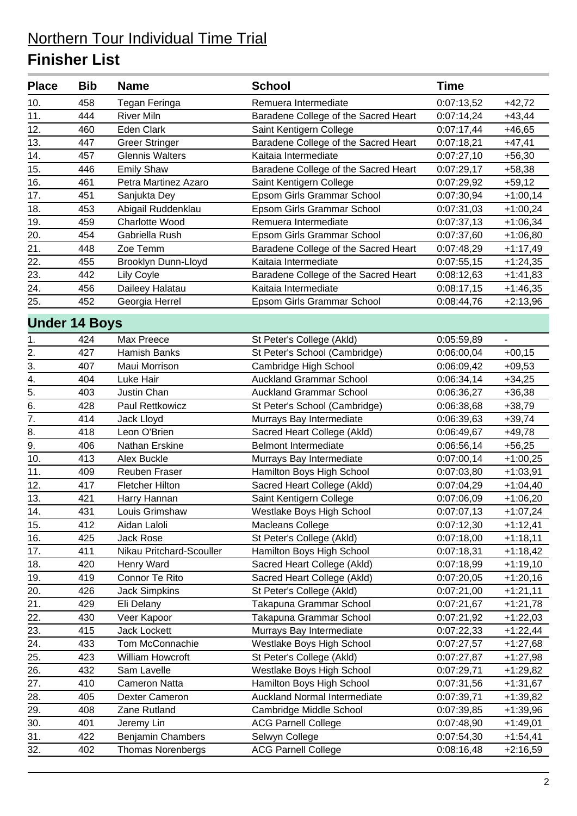| <b>Place</b>         | <b>Bib</b> | <b>Name</b>              | <b>School</b>                        | <b>Time</b> |            |
|----------------------|------------|--------------------------|--------------------------------------|-------------|------------|
| 10.                  | 458        | Tegan Feringa            | Remuera Intermediate                 | 0:07:13,52  | $+42,72$   |
| 11.                  | 444        | <b>River Miln</b>        | Baradene College of the Sacred Heart | 0:07:14,24  | $+43,44$   |
| 12.                  | 460        | <b>Eden Clark</b>        | Saint Kentigern College              | 0:07:17,44  | $+46,65$   |
| 13.                  | 447        | <b>Greer Stringer</b>    | Baradene College of the Sacred Heart | 0:07:18,21  | $+47,41$   |
| 14.                  | 457        | <b>Glennis Walters</b>   | Kaitaia Intermediate                 | 0:07:27,10  | $+56,30$   |
| 15.                  | 446        | <b>Emily Shaw</b>        | Baradene College of the Sacred Heart | 0:07:29,17  | $+58,38$   |
| 16.                  | 461        | Petra Martinez Azaro     | Saint Kentigern College              | 0:07:29,92  | $+59,12$   |
| 17.                  | 451        | Sanjukta Dey             | Epsom Girls Grammar School           | 0:07:30,94  | $+1:00,14$ |
| 18.                  | 453        | Abigail Ruddenklau       | Epsom Girls Grammar School           | 0:07:31,03  | $+1:00,24$ |
| 19.                  | 459        | <b>Charlotte Wood</b>    | Remuera Intermediate                 | 0:07:37,13  | $+1:06,34$ |
| 20.                  | 454        | Gabriella Rush           | Epsom Girls Grammar School           | 0:07:37,60  | $+1:06,80$ |
| 21.                  | 448        | Zoe Temm                 | Baradene College of the Sacred Heart | 0:07:48,29  | $+1:17,49$ |
| 22.                  | 455        | Brooklyn Dunn-Lloyd      | Kaitaia Intermediate                 | 0:07:55,15  | $+1:24,35$ |
| 23.                  | 442        | <b>Lily Coyle</b>        | Baradene College of the Sacred Heart | 0:08:12,63  | +1:41,83   |
| 24.                  | 456        | Daileey Halatau          | Kaitaia Intermediate                 | 0:08:17,15  | $+1:46,35$ |
| 25.                  | 452        | Georgia Herrel           | Epsom Girls Grammar School           | 0:08:44,76  | $+2:13,96$ |
| <b>Under 14 Boys</b> |            |                          |                                      |             |            |
| 1.                   | 424        | Max Preece               | St Peter's College (Akld)            | 0:05:59,89  |            |
| 2.                   | 427        | Hamish Banks             | St Peter's School (Cambridge)        | 0:06:00,04  | $+00,15$   |
| 3.                   | 407        | Maui Morrison            | Cambridge High School                | 0:06:09,42  | $+09,53$   |
| $\overline{4}$ .     | 404        | Luke Hair                | <b>Auckland Grammar School</b>       | 0:06:34,14  | $+34,25$   |
| 5.                   | 403        | Justin Chan              | <b>Auckland Grammar School</b>       | 0:06:36,27  | $+36,38$   |
| $\overline{6}$ .     | 428        | Paul Rettkowicz          | St Peter's School (Cambridge)        | 0:06:38,68  | $+38,79$   |
| $\overline{7}$ .     | 414        | Jack Lloyd               | Murrays Bay Intermediate             | 0:06:39,63  | $+39,74$   |
| 8.                   | 418        | Leon O'Brien             | Sacred Heart College (Akld)          | 0:06:49,67  | $+49,78$   |
| 9.                   | 406        | Nathan Erskine           | <b>Belmont Intermediate</b>          | 0:06:56,14  | $+56,25$   |
| 10.                  | 413        | <b>Alex Buckle</b>       | Murrays Bay Intermediate             | 0:07:00,14  | $+1:00,25$ |
| 11.                  | 409        | <b>Reuben Fraser</b>     | Hamilton Boys High School            | 0:07:03,80  | $+1:03,91$ |
| 12.                  | 417        | <b>Fletcher Hilton</b>   | Sacred Heart College (Akld)          | 0:07:04,29  | $+1:04,40$ |
| 13.                  | 421        | Harry Hannan             | Saint Kentigern College              | 0:07:06,09  | $+1:06,20$ |
| 14.                  | 431        | Louis Grimshaw           | Westlake Boys High School            | 0:07:07,13  | $+1:07,24$ |
| 15.                  | 412        | Aidan Laloli             | Macleans College                     | 0:07:12,30  | $+1:12,41$ |
| 16.                  | 425        | Jack Rose                | St Peter's College (Akld)            | 0:07:18,00  | $+1:18,11$ |
| 17.                  | 411        | Nikau Pritchard-Scouller | Hamilton Boys High School            | 0:07:18,31  | $+1:18,42$ |
| 18.                  | 420        | Henry Ward               | Sacred Heart College (Akld)          | 0:07:18,99  | $+1:19,10$ |
| 19.                  | 419        | Connor Te Rito           | Sacred Heart College (Akld)          | 0:07:20,05  | +1:20,16   |
| 20.                  | 426        | <b>Jack Simpkins</b>     | St Peter's College (Akld)            | 0:07:21,00  | $+1:21,11$ |
| 21.                  | 429        | Eli Delany               | Takapuna Grammar School              | 0:07:21,67  | $+1:21,78$ |
| 22.                  | 430        | Veer Kapoor              | Takapuna Grammar School              | 0:07:21,92  | $+1:22,03$ |
| 23.                  | 415        | Jack Lockett             | Murrays Bay Intermediate             | 0:07:22,33  | $+1:22,44$ |
| 24.                  | 433        | Tom McConnachie          | Westlake Boys High School            | 0:07:27,57  | $+1:27,68$ |
| 25.                  | 423        | William Howcroft         | St Peter's College (Akld)            | 0:07:27,87  | $+1:27,98$ |
| 26.                  | 432        | Sam Lavelle              | Westlake Boys High School            | 0:07:29,71  | +1:29,82   |
| 27.                  | 410        | Cameron Natta            | Hamilton Boys High School            | 0:07:31,56  | +1:31,67   |
| 28.                  | 405        | Dexter Cameron           | Auckland Normal Intermediate         | 0:07:39,71  | +1:39,82   |
| 29.                  | 408        | Zane Rutland             | Cambridge Middle School              | 0:07:39,85  | +1:39,96   |
| 30.                  | 401        | Jeremy Lin               | <b>ACG Parnell College</b>           | 0:07:48,90  | $+1:49,01$ |
| 31.                  | 422        | <b>Benjamin Chambers</b> | Selwyn College                       | 0:07:54,30  | $+1:54,41$ |
| 32.                  | 402        | <b>Thomas Norenbergs</b> | <b>ACG Parnell College</b>           | 0:08:16,48  | $+2:16,59$ |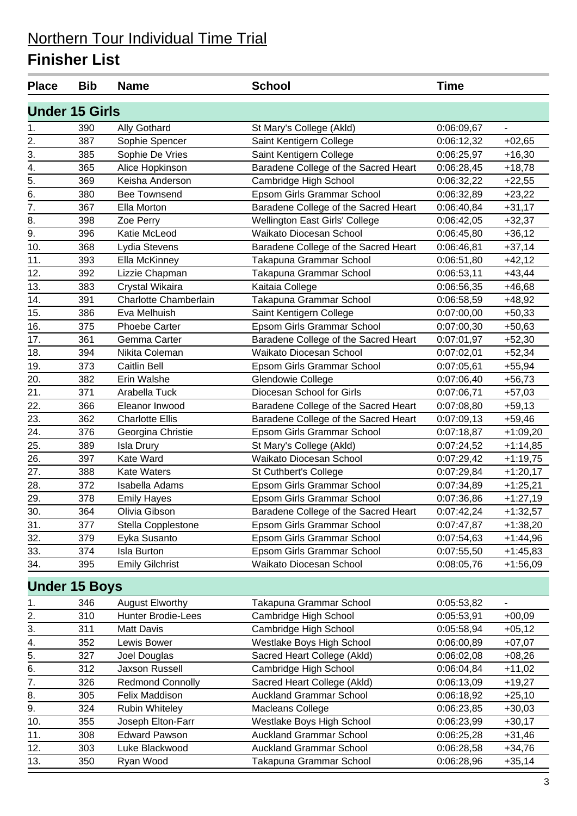| <b>Place</b>          | <b>Bib</b> | <b>Name</b>               | <b>School</b>                        | <b>Time</b> |            |
|-----------------------|------------|---------------------------|--------------------------------------|-------------|------------|
| <b>Under 15 Girls</b> |            |                           |                                      |             |            |
| 1.                    | 390        | <b>Ally Gothard</b>       | St Mary's College (Akld)             | 0:06:09,67  | L.         |
| 2.                    | 387        | Sophie Spencer            | Saint Kentigern College              | 0:06:12,32  | $+02,65$   |
| 3.                    | 385        | Sophie De Vries           | Saint Kentigern College              | 0:06:25,97  | $+16,30$   |
| 4.                    | 365        | Alice Hopkinson           | Baradene College of the Sacred Heart | 0:06:28,45  | $+18,78$   |
| $\overline{5}$ .      | 369        | Keisha Anderson           | Cambridge High School                | 0:06:32,22  | $+22,55$   |
| 6.                    | 380        | <b>Bee Townsend</b>       | Epsom Girls Grammar School           | 0:06:32,89  | $+23,22$   |
| 7.                    | 367        | Ella Morton               | Baradene College of the Sacred Heart | 0:06:40,84  | $+31,17$   |
| 8.                    | 398        | Zoe Perry                 | Wellington East Girls' College       | 0:06:42,05  | $+32,37$   |
| 9.                    | 396        | Katie McLeod              | Waikato Diocesan School              | 0:06:45,80  | $+36,12$   |
| 10.                   | 368        | Lydia Stevens             | Baradene College of the Sacred Heart | 0:06:46,81  | $+37,14$   |
| 11.                   | 393        | Ella McKinney             | Takapuna Grammar School              | 0:06:51,80  | $+42,12$   |
| 12.                   | 392        | Lizzie Chapman            | Takapuna Grammar School              | 0:06:53,11  | $+43,44$   |
| 13.                   | 383        | Crystal Wikaira           | Kaitaia College                      | 0:06:56,35  | $+46,68$   |
| 14.                   | 391        | Charlotte Chamberlain     | Takapuna Grammar School              | 0:06:58,59  | $+48,92$   |
| 15.                   | 386        | Eva Melhuish              | Saint Kentigern College              | 0:07:00,00  | $+50,33$   |
| 16.                   | 375        | <b>Phoebe Carter</b>      | Epsom Girls Grammar School           | 0:07:00,30  | $+50,63$   |
| 17.                   | 361        | Gemma Carter              | Baradene College of the Sacred Heart | 0:07:01,97  | $+52,30$   |
| 18.                   | 394        | Nikita Coleman            | Waikato Diocesan School              | 0:07:02,01  | $+52,34$   |
| 19.                   | 373        | Caitlin Bell              | Epsom Girls Grammar School           | 0:07:05,61  | $+55,94$   |
| 20.                   | 382        | Erin Walshe               | Glendowie College                    | 0:07:06,40  | $+56,73$   |
| 21.                   | 371        | Arabella Tuck             | Diocesan School for Girls            | 0:07:06,71  | $+57,03$   |
| 22.                   | 366        | Eleanor Inwood            | Baradene College of the Sacred Heart | 0:07:08,80  | $+59,13$   |
| 23.                   | 362        | <b>Charlotte Ellis</b>    | Baradene College of the Sacred Heart | 0:07:09,13  | $+59,46$   |
| 24.                   | 376        | Georgina Christie         | Epsom Girls Grammar School           | 0:07:18,87  | +1:09,20   |
| 25.                   | 389        | <b>Isla Drury</b>         | St Mary's College (Akld)             | 0:07:24,52  | $+1:14,85$ |
| 26.                   | 397        | Kate Ward                 | Waikato Diocesan School              | 0:07:29,42  | $+1:19,75$ |
| 27.                   | 388        | <b>Kate Waters</b>        | St Cuthbert's College                | 0:07:29,84  | $+1:20,17$ |
| 28.                   | 372        | Isabella Adams            | Epsom Girls Grammar School           | 0:07:34,89  | $+1:25,21$ |
| 29.                   | 378        | <b>Emily Hayes</b>        | Epsom Girls Grammar School           | 0:07:36,86  | $+1:27,19$ |
| 30.                   | 364        | Olivia Gibson             | Baradene College of the Sacred Heart | 0:07:42,24  | $+1:32,57$ |
| 31.                   | 377        | Stella Copplestone        | Epsom Girls Grammar School           | 0:07:47,87  | $+1:38,20$ |
| 32.                   | 379        | Eyka Susanto              | Epsom Girls Grammar School           | 0:07:54,63  | $+1:44,96$ |
| 33.                   | 374        | <b>Isla Burton</b>        | Epsom Girls Grammar School           | 0:07:55,50  | $+1:45,83$ |
| 34.                   | 395        | <b>Emily Gilchrist</b>    | Waikato Diocesan School              | 0:08:05,76  | $+1:56,09$ |
| <b>Under 15 Boys</b>  |            |                           |                                      |             |            |
| 1.                    | 346        | <b>August Elworthy</b>    | Takapuna Grammar School              | 0:05:53,82  |            |
|                       | 310        | <b>Hunter Brodie-Lees</b> | Cambridge High School                | 0:05:53,91  | $+00,09$   |
| $\frac{2}{3}$         | 311        | Matt Davis                | Cambridge High School                | 0:05:58,94  | $+05,12$   |
| 4.                    | 352        | Lewis Bower               | Westlake Boys High School            | 0:06:00,89  | $+07,07$   |
| 5.                    | 327        | Joel Douglas              | Sacred Heart College (Akld)          | 0:06:02,08  | $+08,26$   |
| 6.                    | 312        | Jaxson Russell            | Cambridge High School                | 0:06:04,84  | $+11,02$   |
| 7.                    | 326        | <b>Redmond Connolly</b>   | Sacred Heart College (Akld)          | 0:06:13,09  | $+19,27$   |
| 8.                    | 305        | Felix Maddison            | <b>Auckland Grammar School</b>       | 0:06:18,92  | $+25,10$   |
| 9.                    | 324        | <b>Rubin Whiteley</b>     | Macleans College                     | 0:06:23,85  | $+30,03$   |
| 10.                   | 355        | Joseph Elton-Farr         | Westlake Boys High School            | 0:06:23,99  | $+30,17$   |
| 11.                   | 308        | <b>Edward Pawson</b>      | <b>Auckland Grammar School</b>       | 0:06:25,28  | $+31,46$   |
| 12.                   | 303        | Luke Blackwood            | <b>Auckland Grammar School</b>       | 0:06:28,58  | $+34,76$   |
| 13.                   | 350        | Ryan Wood                 | Takapuna Grammar School              | 0:06:28,96  | $+35,14$   |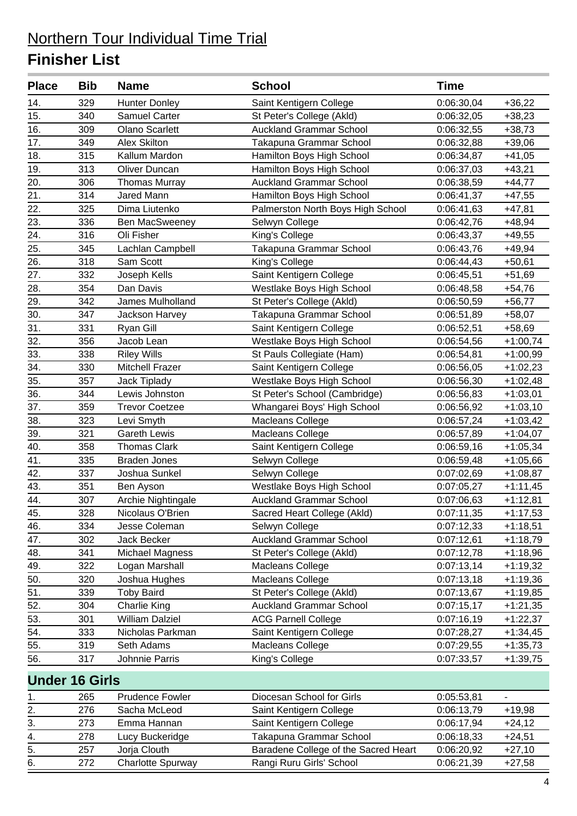| <b>Place</b>      | <b>Bib</b>            | <b>Name</b>            | <b>School</b>                        | <b>Time</b> |            |
|-------------------|-----------------------|------------------------|--------------------------------------|-------------|------------|
| 14.               | 329                   | <b>Hunter Donley</b>   | Saint Kentigern College              | 0:06:30,04  | $+36,22$   |
| 15.               | 340                   | <b>Samuel Carter</b>   | St Peter's College (Akld)            | 0:06:32,05  | $+38,23$   |
| 16.               | 309                   | <b>Olano Scarlett</b>  | <b>Auckland Grammar School</b>       | 0:06:32,55  | $+38,73$   |
| 17.               | 349                   | <b>Alex Skilton</b>    | Takapuna Grammar School              | 0:06:32,88  | $+39,06$   |
| 18.               | 315                   | Kallum Mardon          | Hamilton Boys High School            | 0:06:34,87  | $+41,05$   |
| 19.               | 313                   | <b>Oliver Duncan</b>   | Hamilton Boys High School            | 0:06:37,03  | $+43,21$   |
| 20.               | 306                   | <b>Thomas Murray</b>   | <b>Auckland Grammar School</b>       | 0:06:38,59  | $+44,77$   |
| 21.               | 314                   | Jared Mann             | Hamilton Boys High School            | 0:06:41,37  | $+47,55$   |
| 22.               | 325                   | Dima Liutenko          | Palmerston North Boys High School    | 0:06:41,63  | $+47,81$   |
| 23.               | 336                   | <b>Ben MacSweeney</b>  | Selwyn College                       | 0:06:42,76  | $+48,94$   |
| 24.               | 316                   | Oli Fisher             | King's College                       | 0:06:43,37  | $+49,55$   |
| 25.               | 345                   | Lachlan Campbell       | Takapuna Grammar School              | 0:06:43,76  | $+49,94$   |
| 26.               | 318                   | Sam Scott              | King's College                       | 0:06:44,43  | $+50,61$   |
| 27.               | 332                   | Joseph Kells           | Saint Kentigern College              | 0:06:45,51  | $+51,69$   |
| 28.               | 354                   | Dan Davis              | Westlake Boys High School            | 0:06:48,58  | $+54,76$   |
| 29.               | 342                   | James Mulholland       | St Peter's College (Akld)            | 0:06:50,59  | $+56,77$   |
| 30.               | 347                   | Jackson Harvey         | Takapuna Grammar School              | 0:06:51,89  | $+58,07$   |
| 31.               | 331                   | Ryan Gill              | Saint Kentigern College              | 0:06:52,51  | $+58,69$   |
| 32.               | 356                   | Jacob Lean             | Westlake Boys High School            | 0:06:54,56  | $+1:00,74$ |
| 33.               | 338                   | <b>Riley Wills</b>     | St Pauls Collegiate (Ham)            | 0:06:54,81  | $+1:00,99$ |
| 34.               | 330                   | Mitchell Frazer        | Saint Kentigern College              | 0:06:56,05  | $+1:02,23$ |
| 35.               | 357                   | Jack Tiplady           | Westlake Boys High School            | 0:06:56,30  | $+1:02,48$ |
| 36.               | 344                   | Lewis Johnston         | St Peter's School (Cambridge)        | 0:06:56,83  | $+1:03,01$ |
| 37.               | 359                   | <b>Trevor Coetzee</b>  | Whangarei Boys' High School          | 0:06:56,92  | $+1:03,10$ |
| 38.               | 323                   | Levi Smyth             | Macleans College                     | 0:06:57,24  | $+1:03,42$ |
| 39.               | 321                   | <b>Gareth Lewis</b>    | Macleans College                     | 0:06:57,89  | $+1:04,07$ |
| 40.               | 358                   | <b>Thomas Clark</b>    | Saint Kentigern College              | 0:06:59,16  | $+1:05,34$ |
| $\overline{41}$ . | 335                   | <b>Braden Jones</b>    | Selwyn College                       | 0:06:59,48  | $+1:05,66$ |
| 42.               | 337                   | Joshua Sunkel          | Selwyn College                       | 0:07:02,69  | $+1:08,87$ |
| 43.               | 351                   | Ben Ayson              | Westlake Boys High School            | 0:07:05,27  | $+1:11,45$ |
| 44.               | 307                   | Archie Nightingale     | <b>Auckland Grammar School</b>       | 0:07:06,63  | $+1:12,81$ |
| 45.               | 328                   | Nicolaus O'Brien       | Sacred Heart College (Akld)          | 0:07:11,35  | $+1:17,53$ |
| 46.               | 334                   | Jesse Coleman          | Selwyn College                       | 0:07:12,33  | $+1:18,51$ |
| 47.               | 302                   | Jack Becker            | <b>Auckland Grammar School</b>       | 0:07:12,61  | $+1:18,79$ |
| 48.               | 341                   | Michael Magness        | St Peter's College (Akld)            | 0:07:12,78  | $+1:18,96$ |
| 49.               | 322                   | Logan Marshall         | <b>Macleans College</b>              | 0:07:13,14  | $+1:19,32$ |
| 50.               | 320                   | Joshua Hughes          | Macleans College                     | 0:07:13,18  | $+1:19,36$ |
| 51.               | 339                   | <b>Toby Baird</b>      | St Peter's College (Akld)            | 0:07:13,67  | $+1:19,85$ |
| 52.               | 304                   | <b>Charlie King</b>    | <b>Auckland Grammar School</b>       | 0:07:15,17  | $+1:21,35$ |
| 53.               | 301                   | <b>William Dalziel</b> | <b>ACG Parnell College</b>           | 0:07:16,19  | $+1:22,37$ |
| 54.               | 333                   | Nicholas Parkman       | Saint Kentigern College              | 0:07:28,27  | $+1:34,45$ |
| 55.               | 319                   | Seth Adams             | Macleans College                     | 0:07:29,55  | $+1:35,73$ |
| 56.               | 317                   | Johnnie Parris         | King's College                       | 0:07:33,57  | $+1:39,75$ |
|                   | <b>Under 16 Girls</b> |                        |                                      |             |            |
| 1.                | 265                   | <b>Prudence Fowler</b> | Diocesan School for Girls            | 0:05:53,81  |            |
| 2.                | 276                   | Sacha McLeod           | Saint Kentigern College              | 0:06:13,79  | $+19,98$   |
| 3.                | 273                   | Emma Hannan            | Saint Kentigern College              | 0:06:17,94  | $+24,12$   |
| 4.                | 278                   | Lucy Buckeridge        | Takapuna Grammar School              | 0:06:18,33  | $+24,51$   |
| 5.                | 257                   | Jorja Clouth           | Baradene College of the Sacred Heart | 0:06:20,92  | $+27,10$   |

6. 272 Charlotte Spurway Rangi Ruru Girls' School 0:06:21,39 +27,58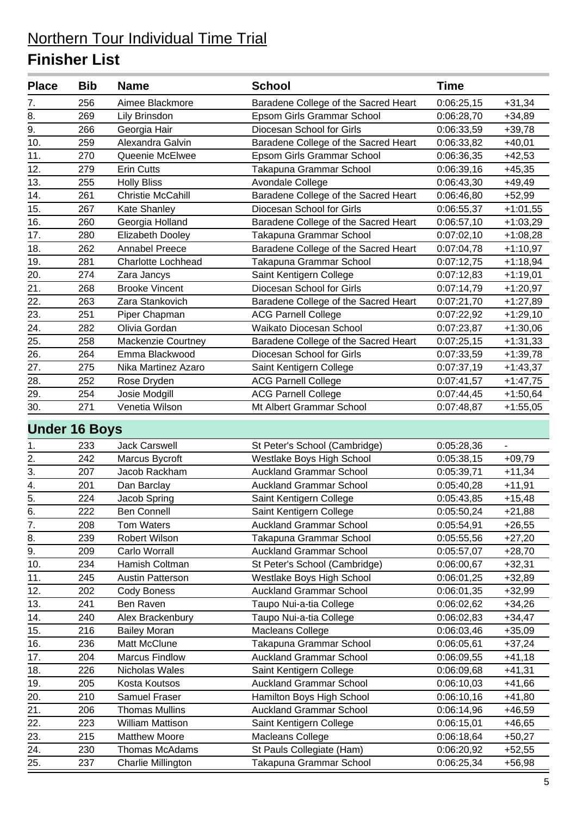| <b>Place</b>         | <b>Bib</b> | <b>Name</b>               | <b>School</b>                        | <b>Time</b> |            |
|----------------------|------------|---------------------------|--------------------------------------|-------------|------------|
| 7.                   | 256        | Aimee Blackmore           | Baradene College of the Sacred Heart | 0:06:25,15  | $+31,34$   |
| 8.                   | 269        | Lily Brinsdon             | Epsom Girls Grammar School           | 0:06:28,70  | $+34,89$   |
| 9.                   | 266        | Georgia Hair              | Diocesan School for Girls            | 0:06:33,59  | $+39,78$   |
| 10.                  | 259        | Alexandra Galvin          | Baradene College of the Sacred Heart | 0:06:33,82  | $+40,01$   |
| 11.                  | 270        | Queenie McElwee           | Epsom Girls Grammar School           | 0:06:36,35  | $+42,53$   |
| 12.                  | 279        | <b>Erin Cutts</b>         | Takapuna Grammar School              | 0:06:39,16  | $+45,35$   |
| 13.                  | 255        | <b>Holly Bliss</b>        | Avondale College                     | 0:06:43,30  | $+49,49$   |
| 14.                  | 261        | <b>Christie McCahill</b>  | Baradene College of the Sacred Heart | 0:06:46,80  | $+52,99$   |
| 15.                  | 267        | Kate Shanley              | Diocesan School for Girls            | 0:06:55,37  | $+1:01,55$ |
| 16.                  | 260        | Georgia Holland           | Baradene College of the Sacred Heart | 0:06:57,10  | $+1:03,29$ |
| 17.                  | 280        | <b>Elizabeth Dooley</b>   | Takapuna Grammar School              | 0:07:02,10  | $+1:08,28$ |
| 18.                  | 262        | <b>Annabel Preece</b>     | Baradene College of the Sacred Heart | 0:07:04,78  | $+1:10,97$ |
| 19.                  | 281        | <b>Charlotte Lochhead</b> | Takapuna Grammar School              | 0:07:12,75  | $+1:18,94$ |
| 20.                  | 274        | Zara Jancys               | Saint Kentigern College              | 0:07:12,83  | $+1:19,01$ |
| 21.                  | 268        | <b>Brooke Vincent</b>     | Diocesan School for Girls            | 0:07:14,79  | $+1:20,97$ |
| 22.                  | 263        | Zara Stankovich           | Baradene College of the Sacred Heart | 0:07:21,70  | $+1:27,89$ |
| 23.                  | 251        | Piper Chapman             | <b>ACG Parnell College</b>           | 0:07:22,92  | $+1:29,10$ |
| 24.                  | 282        | Olivia Gordan             | Waikato Diocesan School              | 0:07:23,87  | $+1:30,06$ |
| 25.                  | 258        | Mackenzie Courtney        | Baradene College of the Sacred Heart | 0:07:25,15  | $+1:31,33$ |
| 26.                  | 264        | Emma Blackwood            | Diocesan School for Girls            | 0:07:33,59  | $+1:39,78$ |
| 27.                  | 275        | Nika Martinez Azaro       | Saint Kentigern College              | 0:07:37,19  | $+1:43,37$ |
| 28.                  | 252        | Rose Dryden               | <b>ACG Parnell College</b>           | 0:07:41,57  | $+1:47,75$ |
| 29.                  | 254        | Josie Modgill             | <b>ACG Parnell College</b>           | 0:07:44,45  | $+1:50,64$ |
| 30.                  | 271        | Venetia Wilson            | Mt Albert Grammar School             | 0:07:48,87  | $+1:55,05$ |
| <b>Under 16 Boys</b> |            |                           |                                      |             |            |
| 1.                   | 233        | <b>Jack Carswell</b>      | St Peter's School (Cambridge)        | 0:05:28,36  |            |
| 2.                   | 242        | Marcus Bycroft            | Westlake Boys High School            | 0:05:38,15  | $+09,79$   |
| 3.                   | 207        | Jacob Rackham             | <b>Auckland Grammar School</b>       | 0:05:39,71  | $+11,34$   |
|                      | 201        | Dan Barclay               | <b>Auckland Grammar School</b>       | 0:05:40,28  | $+11,91$   |
| $\frac{4}{5}$        | 224        | Jacob Spring              | Saint Kentigern College              | 0:05:43,85  | $+15,48$   |
| 6.                   | 222        | Ben Connell               | Saint Kentigern College              | 0:05:50,24  | $+21,88$   |
| $\overline{7}$ .     | 208        | <b>Tom Waters</b>         | <b>Auckland Grammar School</b>       | 0:05:54,91  | $+26,55$   |
| 8.                   | 239        | Robert Wilson             | Takapuna Grammar School              | 0:05:55,56  | $+27,20$   |
| 9.                   | 209        | Carlo Worrall             | <b>Auckland Grammar School</b>       | 0:05:57,07  | $+28,70$   |
| 10.                  | 234        | Hamish Coltman            | St Peter's School (Cambridge)        | 0:06:00,67  | $+32,31$   |
| 11.                  | 245        | Austin Patterson          | Westlake Boys High School            | 0:06:01,25  | $+32,89$   |
| 12.                  | 202        | Cody Boness               | <b>Auckland Grammar School</b>       | 0:06:01,35  | $+32,99$   |
| 13.                  | 241        | Ben Raven                 | Taupo Nui-a-tia College              | 0:06:02,62  | $+34,26$   |
| 14.                  | 240        | Alex Brackenbury          | Taupo Nui-a-tia College              | 0:06:02,83  | $+34,47$   |
| 15.                  | 216        | <b>Bailey Moran</b>       | Macleans College                     | 0:06:03,46  | $+35,09$   |
| 16.                  | 236        | Matt McClune              | Takapuna Grammar School              | 0:06:05,61  | $+37,24$   |
| 17.                  | 204        | <b>Marcus Findlow</b>     | <b>Auckland Grammar School</b>       | 0:06:09,55  | $+41,18$   |
| 18.                  | 226        | Nicholas Wales            | Saint Kentigern College              | 0:06:09,68  | $+41,31$   |
| 19.                  | 205        | Kosta Koutsos             | <b>Auckland Grammar School</b>       | 0:06:10,03  | $+41,66$   |
| 20.                  | 210        | Samuel Fraser             | Hamilton Boys High School            | 0:06:10,16  | $+41,80$   |
| 21.                  | 206        | <b>Thomas Mullins</b>     | <b>Auckland Grammar School</b>       | 0:06:14,96  | $+46,59$   |
| 22.                  | 223        | William Mattison          | Saint Kentigern College              | 0:06:15,01  | $+46,65$   |
| 23.                  | 215        | <b>Matthew Moore</b>      | Macleans College                     | 0:06:18,64  | $+50,27$   |
| 24.                  | 230        | Thomas McAdams            | St Pauls Collegiate (Ham)            | 0:06:20,92  | $+52,55$   |
| 25.                  | 237        | Charlie Millington        | Takapuna Grammar School              | 0:06:25,34  | $+56,98$   |
|                      |            |                           |                                      |             |            |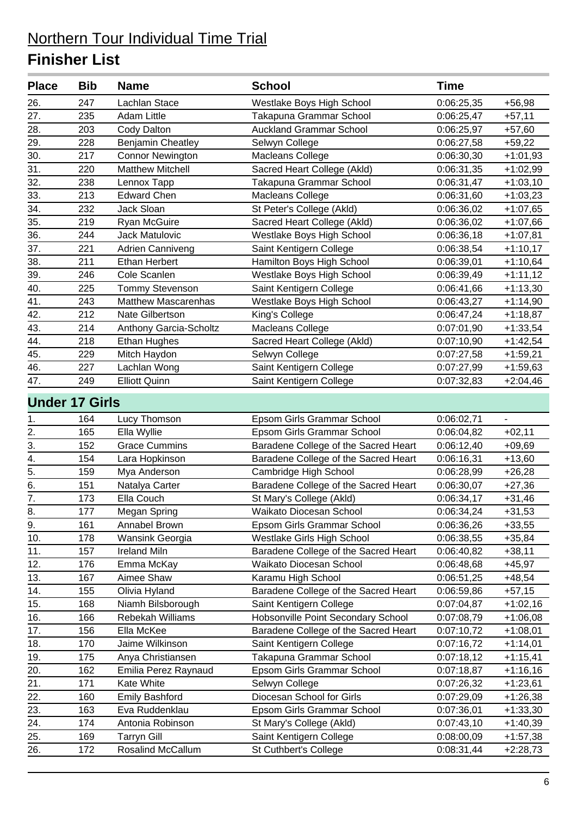| <b>Place</b>     | <b>Bib</b>            | <b>Name</b>                | <b>School</b>                        | <b>Time</b> |            |
|------------------|-----------------------|----------------------------|--------------------------------------|-------------|------------|
| 26.              | 247                   | Lachlan Stace              | Westlake Boys High School            | 0:06:25,35  | $+56,98$   |
| 27.              | 235                   | <b>Adam Little</b>         | Takapuna Grammar School              | 0:06:25,47  | $+57,11$   |
| 28.              | 203                   | Cody Dalton                | <b>Auckland Grammar School</b>       | 0:06:25,97  | $+57,60$   |
| 29.              | 228                   | Benjamin Cheatley          | Selwyn College                       | 0:06:27,58  | $+59,22$   |
| 30.              | 217                   | <b>Connor Newington</b>    | <b>Macleans College</b>              | 0:06:30,30  | $+1:01,93$ |
| 31.              | 220                   | <b>Matthew Mitchell</b>    | Sacred Heart College (Akld)          | 0:06:31,35  | $+1:02,99$ |
| 32.              | 238                   | Lennox Tapp                | Takapuna Grammar School              | 0:06:31,47  | $+1:03,10$ |
| 33.              | 213                   | <b>Edward Chen</b>         | Macleans College                     | 0:06:31,60  | $+1:03,23$ |
| 34.              | 232                   | Jack Sloan                 | St Peter's College (Akld)            | 0:06:36,02  | $+1:07,65$ |
| 35.              | 219                   | Ryan McGuire               | Sacred Heart College (Akld)          | 0:06:36,02  | $+1:07,66$ |
| 36.              | 244                   | Jack Matulovic             | Westlake Boys High School            | 0:06:36,18  | $+1:07,81$ |
| 37.              | 221                   | Adrien Canniveng           | Saint Kentigern College              | 0:06:38,54  | $+1:10,17$ |
| 38.              | 211                   | <b>Ethan Herbert</b>       | Hamilton Boys High School            | 0:06:39,01  | $+1:10,64$ |
| 39.              | 246                   | Cole Scanlen               | Westlake Boys High School            | 0:06:39,49  | $+1:11,12$ |
| 40.              | 225                   | <b>Tommy Stevenson</b>     | Saint Kentigern College              | 0:06:41,66  | $+1:13,30$ |
| 41.              | 243                   | <b>Matthew Mascarenhas</b> | Westlake Boys High School            | 0:06:43,27  | $+1:14,90$ |
| 42.              | 212                   | Nate Gilbertson            | King's College                       | 0:06:47,24  | $+1:18,87$ |
| 43.              | 214                   | Anthony Garcia-Scholtz     | Macleans College                     | 0:07:01,90  | $+1:33,54$ |
| 44.              | 218                   | <b>Ethan Hughes</b>        | Sacred Heart College (Akld)          | 0:07:10,90  | $+1:42,54$ |
| 45.              | 229                   | Mitch Haydon               | Selwyn College                       | 0:07:27,58  | $+1:59,21$ |
| 46.              | 227                   | Lachlan Wong               | Saint Kentigern College              | 0:07:27,99  | $+1:59,63$ |
| 47.              | 249                   | <b>Elliott Quinn</b>       | Saint Kentigern College              | 0:07:32,83  | $+2:04,46$ |
|                  | <b>Under 17 Girls</b> |                            |                                      |             |            |
| 1.               | 164                   | Lucy Thomson               | Epsom Girls Grammar School           | 0:06:02,71  |            |
| $\overline{2}$ . | 165                   | Ella Wyllie                | Epsom Girls Grammar School           | 0:06:04,82  | $+02,11$   |
| 3.               | 152                   | <b>Grace Cummins</b>       | Baradene College of the Sacred Heart | 0:06:12,40  | $+09,69$   |
| 4.               | 154                   | Lara Hopkinson             | Baradene College of the Sacred Heart | 0:06:16,31  | $+13,60$   |
| $\overline{5}$ . | 159                   | Mya Anderson               | Cambridge High School                | 0:06:28,99  | $+26,28$   |
| 6.               | 151                   | Natalya Carter             | Baradene College of the Sacred Heart | 0:06:30,07  | $+27,36$   |
| $\overline{7}$ . | 173                   | Ella Couch                 | St Mary's College (Akld)             | 0:06:34,17  | $+31,46$   |
| 8.               | 177                   | Megan Spring               | Waikato Diocesan School              | 0:06:34,24  | $+31,53$   |
| 9.               | 161                   | Annabel Brown              | Epsom Girls Grammar School           | 0:06:36,26  | $+33,55$   |
| 10.              | 178                   | Wansink Georgia            | Westlake Girls High School           | 0:06:38,55  | $+35,84$   |
| 11.              | 157                   | <b>Ireland Miln</b>        | Baradene College of the Sacred Heart | 0:06:40,82  | $+38,11$   |
| 12.              | 176                   | Emma McKay                 | Waikato Diocesan School              | 0:06:48,68  | $+45,97$   |
| 13.              | 167                   | Aimee Shaw                 | Karamu High School                   | 0:06:51,25  | $+48,54$   |
| 14.              | 155                   | Olivia Hyland              | Baradene College of the Sacred Heart | 0:06:59,86  | $+57,15$   |
| 15.              | 168                   | Niamh Bilsborough          | Saint Kentigern College              | 0:07:04,87  | $+1:02,16$ |
| 16.              | 166                   | Rebekah Williams           | Hobsonville Point Secondary School   | 0:07:08,79  | $+1:06,08$ |
| 17.              | 156                   | Ella McKee                 | Baradene College of the Sacred Heart | 0:07:10,72  | $+1:08,01$ |
| 18.              | 170                   | Jaime Wilkinson            | Saint Kentigern College              | 0:07:16,72  | $+1:14,01$ |
| 19.              | 175                   | Anya Christiansen          | Takapuna Grammar School              | 0:07:18,12  | $+1:15,41$ |
| 20.              |                       | Emilia Perez Raynaud       | Epsom Girls Grammar School           | 0:07:18,87  | $+1:16,16$ |
| 21.              | 162                   |                            |                                      |             |            |
|                  | 171                   | Kate White                 | Selwyn College                       | 0:07:26,32  | $+1:23,61$ |
| 22.              | 160                   | <b>Emily Bashford</b>      | Diocesan School for Girls            | 0:07:29,09  | $+1:26,38$ |
| 23.              | 163                   | Eva Ruddenklau             | Epsom Girls Grammar School           | 0:07:36,01  | $+1:33,30$ |
| 24.              | 174                   | Antonia Robinson           | St Mary's College (Akld)             | 0:07:43,10  | $+1:40,39$ |
| 25.              | 169                   | <b>Tarryn Gill</b>         | Saint Kentigern College              | 0:08:00,09  | $+1:57,38$ |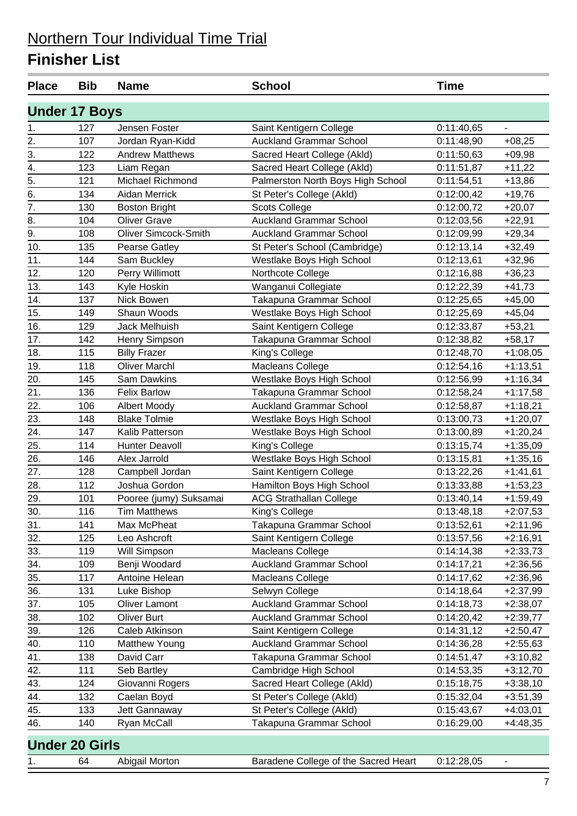| <b>Place</b>     | <b>Bib</b>            | <b>Name</b>                 | <b>School</b>                        | <b>Time</b> |            |
|------------------|-----------------------|-----------------------------|--------------------------------------|-------------|------------|
|                  | <b>Under 17 Boys</b>  |                             |                                      |             |            |
| 1.               | 127                   | Jensen Foster               | Saint Kentigern College              | 0:11:40,65  | L.         |
| 2.               | 107                   | Jordan Ryan-Kidd            | <b>Auckland Grammar School</b>       | 0:11:48,90  | $+08,25$   |
| 3.               | 122                   | <b>Andrew Matthews</b>      | Sacred Heart College (Akld)          | 0:11:50,63  | $+09,98$   |
| 4.               | 123                   | Liam Regan                  | Sacred Heart College (Akld)          | 0:11:51,87  | $+11,22$   |
| $\overline{5}$ . | 121                   | Michael Richmond            | Palmerston North Boys High School    | 0:11:54,51  | $+13,86$   |
| 6.               | 134                   | <b>Aidan Merrick</b>        | St Peter's College (Akld)            | 0:12:00,42  | $+19,76$   |
| 7.               | 130                   | <b>Boston Bright</b>        | <b>Scots College</b>                 | 0:12:00,72  | $+20,07$   |
| 8.               | 104                   | <b>Oliver Grave</b>         | <b>Auckland Grammar School</b>       | 0:12:03,56  | $+22,91$   |
| $\overline{9}$ . | 108                   | <b>Oliver Simcock-Smith</b> | <b>Auckland Grammar School</b>       | 0:12:09,99  | $+29,34$   |
| 10.              | 135                   | <b>Pearse Gatley</b>        | St Peter's School (Cambridge)        | 0:12:13,14  | $+32,49$   |
| 11.              | 144                   | Sam Buckley                 | Westlake Boys High School            | 0:12:13,61  | $+32,96$   |
| 12.              | 120                   | Perry Willimott             | Northcote College                    | 0:12:16,88  | $+36,23$   |
| 13.              | 143                   | Kyle Hoskin                 | Wanganui Collegiate                  | 0:12:22,39  | $+41,73$   |
| 14.              | 137                   | Nick Bowen                  | Takapuna Grammar School              | 0:12:25,65  | $+45,00$   |
| 15.              | 149                   | Shaun Woods                 | Westlake Boys High School            | 0:12:25,69  | $+45,04$   |
| 16.              | 129                   | Jack Melhuish               | Saint Kentigern College              | 0:12:33,87  | $+53,21$   |
| 17.              | 142                   | Henry Simpson               | Takapuna Grammar School              | 0:12:38,82  | $+58,17$   |
| 18.              | 115                   | <b>Billy Frazer</b>         | King's College                       | 0:12:48,70  | $+1:08,05$ |
| 19.              | 118                   | <b>Oliver Marchl</b>        | Macleans College                     | 0:12:54,16  | $+1:13,51$ |
| 20.              | 145                   | <b>Sam Dawkins</b>          | Westlake Boys High School            | 0:12:56,99  | $+1:16,34$ |
| 21.              | 136                   | <b>Felix Barlow</b>         | Takapuna Grammar School              | 0:12:58,24  | $+1:17,58$ |
| 22.              | 106                   | <b>Albert Moody</b>         | <b>Auckland Grammar School</b>       | 0:12:58,87  | $+1:18,21$ |
| 23.              | 148                   | <b>Blake Tolmie</b>         | Westlake Boys High School            | 0:13:00,73  | $+1:20,07$ |
| 24.              | 147                   | Kalib Patterson             | Westlake Boys High School            | 0:13:00,89  | $+1:20,24$ |
| 25.              | 114                   | <b>Hunter Deavoll</b>       | King's College                       | 0:13:15,74  | $+1:35,09$ |
| 26.              | 146                   | Alex Jarrold                | Westlake Boys High School            | 0:13:15,81  | $+1:35,16$ |
| 27.              | 128                   | Campbell Jordan             | Saint Kentigern College              | 0:13:22,26  | $+1:41,61$ |
| 28.              | 112                   | Joshua Gordon               | Hamilton Boys High School            | 0:13:33,88  | $+1:53,23$ |
| 29.              | 101                   | Pooree (jumy) Suksamai      | <b>ACG Strathallan College</b>       | 0:13:40,14  | $+1:59,49$ |
| 30.              | 116                   | <b>Tim Matthews</b>         | King's College                       | 0:13:48,18  | $+2:07,53$ |
| 31.              | 141                   | Max McPheat                 | Takapuna Grammar School              | 0:13:52,61  | $+2:11,96$ |
| 32.              | 125                   | Leo Ashcroft                | Saint Kentigern College              | 0:13:57,56  | $+2:16,91$ |
| 33.              | 119                   | Will Simpson                | Macleans College                     | 0:14:14,38  | $+2:33,73$ |
| 34.              | 109                   | Benji Woodard               | <b>Auckland Grammar School</b>       | 0:14:17,21  | $+2:36,56$ |
| 35.              | 117                   | Antoine Helean              | <b>Macleans College</b>              | 0:14:17,62  | $+2:36,96$ |
| 36.              | 131                   | Luke Bishop                 | Selwyn College                       | 0:14:18,64  | $+2:37,99$ |
| 37.              | 105                   | <b>Oliver Lamont</b>        | <b>Auckland Grammar School</b>       | 0:14:18,73  | $+2:38,07$ |
| 38.              | 102                   | Oliver Burt                 | <b>Auckland Grammar School</b>       | 0:14:20,42  | $+2:39,77$ |
| 39.              | 126                   | Caleb Atkinson              | Saint Kentigern College              | 0:14:31,12  | $+2:50,47$ |
| 40.              | 110                   | Matthew Young               | <b>Auckland Grammar School</b>       | 0:14:36,28  | $+2:55,63$ |
| 41.              | 138                   | David Carr                  | Takapuna Grammar School              | 0:14:51,47  | $+3:10,82$ |
| 42.              | 111                   | Seb Bartley                 | Cambridge High School                | 0:14:53,35  | $+3:12,70$ |
| 43.              | 124                   | Giovanni Rogers             | Sacred Heart College (Akld)          | 0:15:18,75  | $+3:38,10$ |
| 44.              | 132                   | Caelan Boyd                 | St Peter's College (Akld)            | 0:15:32,04  | $+3:51,39$ |
| 45.              | 133                   | Jett Gannaway               | St Peter's College (Akld)            | 0:15:43,67  | $+4:03,01$ |
| 46.              | 140                   | Ryan McCall                 | Takapuna Grammar School              | 0:16:29,00  | $+4:48,35$ |
|                  | <b>Under 20 Girls</b> |                             |                                      |             |            |
| 1.               | 64                    | Abigail Morton              | Baradene College of the Sacred Heart | 0:12:28,05  | ۰          |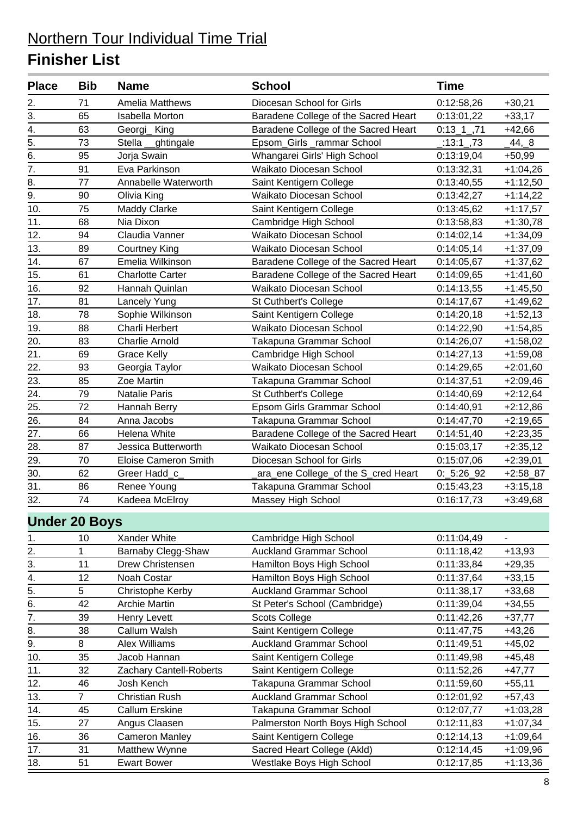| <b>Place</b>         | <b>Bib</b>     | <b>Name</b>                 | <b>School</b>                        | <b>Time</b>              |                          |
|----------------------|----------------|-----------------------------|--------------------------------------|--------------------------|--------------------------|
| 2.                   | 71             | <b>Amelia Matthews</b>      | Diocesan School for Girls            | 0:12:58,26               | $+30,21$                 |
| $\overline{3}$ .     | 65             | <b>Isabella Morton</b>      | Baradene College of the Sacred Heart | 0:13:01,22               | $+33,17$                 |
| 4.                   | 63             | Georgi_King                 | Baradene College of the Sacred Heart | $0:13\_1$ <sub>,71</sub> | $+42,66$                 |
| 5.                   | 73             | Stella _ghtingale           | Epsom_Girls_rammar School            | $\_13:1-.73$             | $-44, -8$                |
| 6.                   | 95             | Jorja Swain                 | Whangarei Girls' High School         | 0:13:19,04               | $+50,99$                 |
| 7.                   | 91             | Eva Parkinson               | Waikato Diocesan School              | 0:13:32,31               | $+1:04,26$               |
| 8.                   | 77             | Annabelle Waterworth        | Saint Kentigern College              | 0:13:40,55               | $+1:12,50$               |
| 9.                   | 90             | Olivia King                 | Waikato Diocesan School              | 0:13:42,27               | $+1:14,22$               |
| 10.                  | 75             | <b>Maddy Clarke</b>         | Saint Kentigern College              | 0:13:45,62               | $+1:17,57$               |
| 11.                  | 68             | Nia Dixon                   | Cambridge High School                | 0:13:58,83               | $+1:30,78$               |
| 12.                  | 94             | Claudia Vanner              | Waikato Diocesan School              | 0:14:02,14               | $+1:34,09$               |
| 13.                  | 89             | <b>Courtney King</b>        | Waikato Diocesan School              | 0:14:05,14               | $+1:37,09$               |
| 14.                  | 67             | Emelia Wilkinson            | Baradene College of the Sacred Heart | 0:14:05,67               | $+1:37,62$               |
| 15.                  | 61             | <b>Charlotte Carter</b>     | Baradene College of the Sacred Heart | 0:14:09,65               | $+1:41,60$               |
| 16.                  | 92             | Hannah Quinlan              | Waikato Diocesan School              | 0:14:13,55               | $+1:45,50$               |
| 17.                  | 81             | Lancely Yung                | St Cuthbert's College                | 0:14:17,67               | $+1:49,62$               |
| 18.                  | 78             | Sophie Wilkinson            | Saint Kentigern College              | 0:14:20,18               | $+1:52,13$               |
| 19.                  | 88             | Charli Herbert              | Waikato Diocesan School              | 0:14:22,90               | $+1:54,85$               |
| 20.                  | 83             | <b>Charlie Arnold</b>       | Takapuna Grammar School              | 0:14:26,07               | $+1:58,02$               |
| 21.                  | 69             | <b>Grace Kelly</b>          | Cambridge High School                | 0:14:27,13               | $+1:59,08$               |
| 22.                  | 93             | Georgia Taylor              | Waikato Diocesan School              | 0:14:29,65               | $+2:01,60$               |
| 23.                  | 85             | Zoe Martin                  | Takapuna Grammar School              | 0:14:37,51               | $+2:09,46$               |
| 24.                  | 79             | Natalie Paris               | St Cuthbert's College                | 0:14:40,69               | $+2:12,64$               |
| 25.                  | 72             | Hannah Berry                | Epsom Girls Grammar School           | 0:14:40,91               | $+2:12,86$               |
| 26.                  | 84             | Anna Jacobs                 | Takapuna Grammar School              | 0:14:47,70               | $+2:19,65$               |
| 27.                  | 66             | Helena White                | Baradene College of the Sacred Heart | 0:14:51,40               | $+2:23,35$               |
| 28.                  | 87             | Jessica Butterworth         | Waikato Diocesan School              | 0:15:03,17               | $+2:35,12$               |
| 29.                  | 70             | <b>Eloise Cameron Smith</b> | Diocesan School for Girls            | 0:15:07,06               | $+2:39,01$               |
| 30.                  | 62             | Greer Hadd_c_               | _ara_ene College_of the S_cred Heart | $0: 5:26\_92$            | $+2:58\_87$              |
| 31.                  | 86             | Renee Young                 | Takapuna Grammar School              | 0:15:43,23               | $+3:15,18$               |
| 32.                  | 74             | Kadeea McElroy              | Massey High School                   | 0:16:17,73               | $+3:49,68$               |
| <b>Under 20 Boys</b> |                |                             |                                      |                          |                          |
| 1.                   | 10             | Xander White                | Cambridge High School                | 0:11:04,49               | $\overline{\phantom{a}}$ |
| 2.                   | 1              | Barnaby Clegg-Shaw          | <b>Auckland Grammar School</b>       | 0:11:18,42               | $+13,93$                 |
| 3.                   | 11             | Drew Christensen            | Hamilton Boys High School            | 0:11:33,84               | $+29,35$                 |
| 4.                   | 12             | Noah Costar                 | Hamilton Boys High School            | 0:11:37,64               | $+33,15$                 |
| $\overline{5}$ .     | 5              | Christophe Kerby            | <b>Auckland Grammar School</b>       | 0:11:38,17               | $+33,68$                 |
| 6.                   | 42             | <b>Archie Martin</b>        | St Peter's School (Cambridge)        | 0:11:39,04               | $+34,55$                 |
| $\overline{7}$ .     | 39             | Henry Levett                | <b>Scots College</b>                 | 0:11:42,26               | $+37,77$                 |
| 8.                   | 38             | Callum Walsh                | Saint Kentigern College              | 0:11:47,75               | $+43,26$                 |
| 9.                   | 8              | Alex Williams               | <b>Auckland Grammar School</b>       | 0:11:49,51               | $+45,02$                 |
| 10.                  | 35             | Jacob Hannan                | Saint Kentigern College              | 0:11:49,98               | $+45,48$                 |
| 11.                  | 32             | Zachary Cantell-Roberts     | Saint Kentigern College              | 0:11:52,26               | $+47,77$                 |
| 12.                  | 46             | Josh Kench                  | Takapuna Grammar School              | 0:11:59,60               | $+55,11$                 |
| 13.                  | $\overline{7}$ | <b>Christian Rush</b>       | <b>Auckland Grammar School</b>       | 0:12:01,92               | $+57,43$                 |
| 14.                  | 45             | Callum Erskine              | Takapuna Grammar School              | 0:12:07,77               | $+1:03,28$               |
| 15.                  | 27             | Angus Claasen               | Palmerston North Boys High School    | 0:12:11,83               | $+1:07,34$               |
| 16.                  | 36             | <b>Cameron Manley</b>       | Saint Kentigern College              | 0:12:14,13               | $+1:09,64$               |
| 17.                  | 31             | Matthew Wynne               | Sacred Heart College (Akld)          | 0:12:14,45               | $+1:09,96$               |
| 18.                  | 51             | <b>Ewart Bower</b>          | Westlake Boys High School            | 0:12:17,85               | $+1:13,36$               |